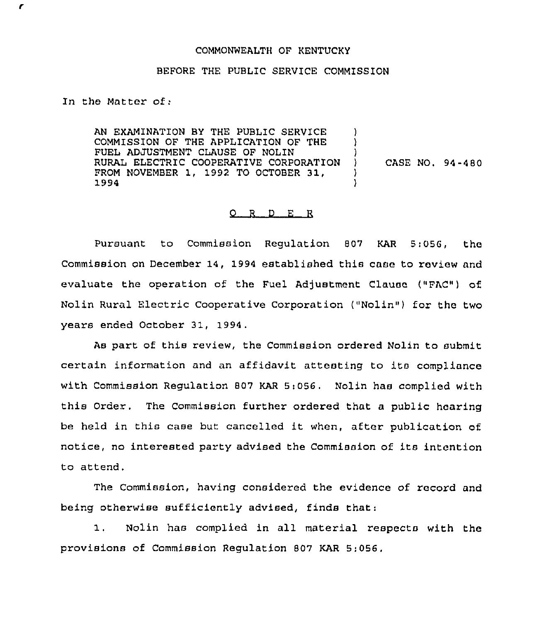## COMMONWEALTH OF KENTUCKY

## BEFORE THE PUBLIC SERVICE COMMISSION

In the Matter of:

r

AN EXAMINATION BY THE PUBLIC SERVICE COMMISSION OF THE APPLICATION OF THE FUEL ADJUSTMENT CLAUSE OF NOLIN RURAL ELECTRIC COOPERATIVE CORPORATION FROM NOVEMBER 1, 199? TO OCTOBER 31, 1994 )  $\mathbf{I}$ ) ) CASE NO. 94-480 ) )

## $Q$  R  $D$  E R

Pursuant to Commission Regulation 807 KAR 5:056, the Commission on December 14, 1994 established this case to review and evaluate the operation of the Fuel Adjustment Clause ("FAC") of Nolin Rural Electric Cooperative Corporation ("Nolin") for the two years ended October 31, 1994.

As part of this review, the Commission ordered Nolin to submit certain information and an affidavit attesting to its compliance with Commission Regulation 807 KAR 5:056. Nolin has complied with this Order. The Commission further ordered that a public hearing be held in this case but cancelled it when, after publication of notice, no interested party advised the Commission of its intention to attend,

The Commission, having considered the evidence of record and being otherwise sufficiently advised, finds that:

1. Nolin has complied in all material respects with the provisions of Commission Regulation 807 KAR 5:056.